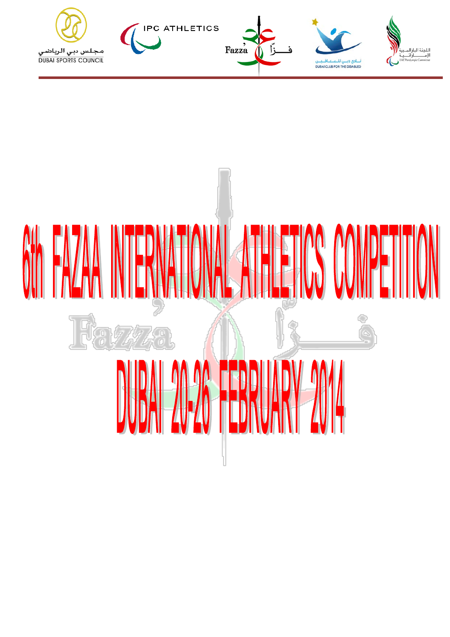

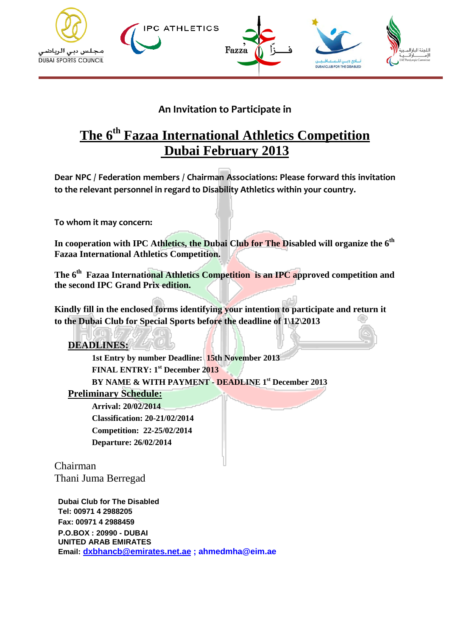

### **An Invitation to Participate in**

# **The 6th Fazaa International Athletics Competition Dubai February 2013**

**Dear NPC / Federation members / Chairman Associations: Please forward this invitation to the relevant personnel in regard to Disability Athletics within your country.**

**To whom it may concern:**

**In cooperation with IPC Athletics, the Dubai Club for The Disabled will organize the 6th Fazaa International Athletics Competition.**

**The 6th Fazaa International Athletics Competition is an IPC approved competition and the second IPC Grand Prix edition.**

**Kindly fill in the enclosed forms identifying your intention to participate and return it to the Dubai Club for Special Sports before the deadline of 1\12\2013**

**DEADLINES:**

**1st Entry by number Deadline: 15th November 2013 FINAL ENTRY: 1st December 2013 BY NAME & WITH PAYMENT - DEADLINE 1st December 2013**

**Preliminary Schedule:**

 **Arrival: 20/02/2014 Classification: 20-21/02/2014 Competition: 22-25/02/2014 Departure: 26/02/2014**

Chairman Thani Juma Berregad

**Dubai Club for The Disabled Tel: 00971 4 2988205 Fax: 00971 4 2988459 P.O.BOX : 20990 - DUBAI UNITED ARAB EMIRATES Email: [dxbhancb@emirates.net.ae](mailto:dxbhancb@emirates.net.ae) ; ahmedmha@eim.ae**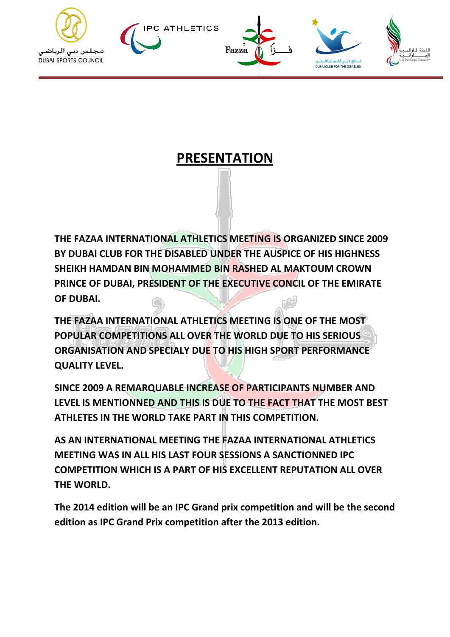









# **PRESENTATION**

**THE FAZAA INTERNATIONAL ATHLETICS MEETING IS ORGANIZED SINCE 2009 BY DUBAI CLUB FOR THE DISABLED UNDER THE AUSPICE OF HIS HIGHNESS SHEIKH HAMDAN BIN MOHAMMED BIN RASHED AL MAKTOUM CROWN PRINCE OF DUBAI, PRESIDENT OF THE EXECUTIVE CONCIL OF THE EMIRATE OF DUBAI.**

**THE FAZAA INTERNATIONAL ATHLETICS MEETING IS ONE OF THE MOST POPULAR COMPETITIONS ALL OVER THE WORLD DUE TO HIS SERIOUS ORGANISATION AND SPECIALY DUE TO HIS HIGH SPORT PERFORMANCE QUALITY LEVEL.**

**SINCE 2009 A REMARQUABLE INCREASE OF PARTICIPANTS NUMBER AND LEVEL IS MENTIONNED AND THIS IS DUE TO THE FACT THAT THE MOST BEST ATHLETES IN THE WORLD TAKE PART IN THIS COMPETITION.**

**AS AN INTERNATIONAL MEETING THE FAZAA INTERNATIONAL ATHLETICS MEETING WAS IN ALL HIS LAST FOUR SESSIONS A SANCTIONNED IPC COMPETITION WHICH IS A PART OF HIS EXCELLENT REPUTATION ALL OVER THE WORLD.**

**The 2014 edition will be an IPC Grand prix competition and will be the second edition as IPC Grand Prix competition after the 2013 edition.**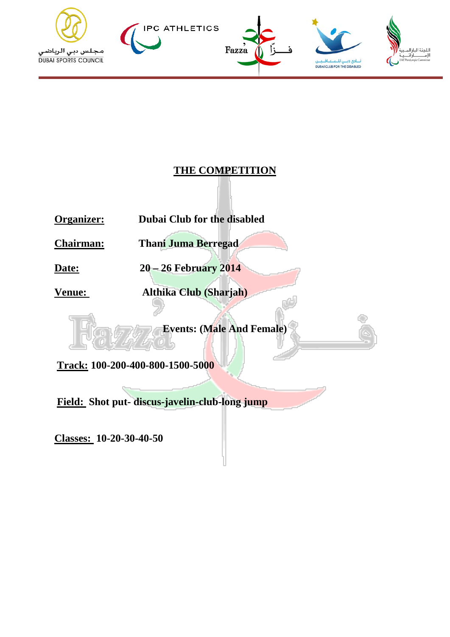

### **THE COMPETITION**

**Organizer: Dubai Club for the disabled**

**Chairman: Thani Juma Berregad**

**Date: 20 – 26 February 2014** 

**Venue: Althika Club (Sharjah)**

**Events: (Male And Female)**

**Track: 100-200-400-800-1500-5000**

**Field: Shot put- discus-javelin-club-long jump**

**Classes: 10-20-30-40-50**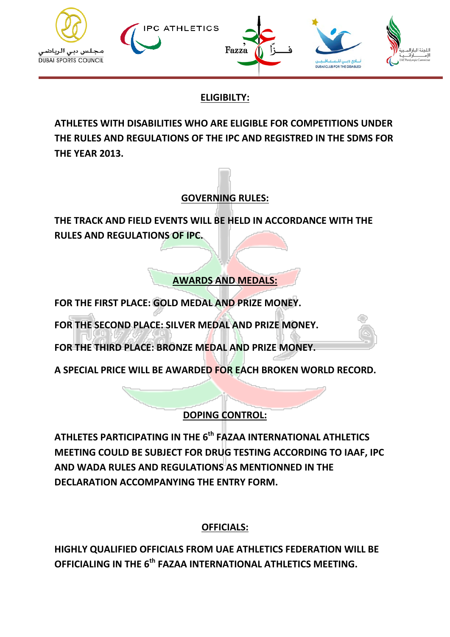

# **ELIGIBILTY:**

**ATHLETES WITH DISABILITIES WHO ARE ELIGIBLE FOR COMPETITIONS UNDER THE RULES AND REGULATIONS OF THE IPC AND REGISTRED IN THE SDMS FOR THE YEAR 2013.**

# **GOVERNING RULES:**

**THE TRACK AND FIELD EVENTS WILL BE HELD IN ACCORDANCE WITH THE RULES AND REGULATIONS OF IPC.**

**AWARDS AND MEDALS:**

**FOR THE FIRST PLACE: GOLD MEDAL AND PRIZE MONEY.** 

**FOR THE SECOND PLACE: SILVER MEDAL AND PRIZE MONEY.** 

**FOR THE THIRD PLACE: BRONZE MEDAL AND PRIZE MONEY.**

**A SPECIAL PRICE WILL BE AWARDED FOR EACH BROKEN WORLD RECORD.**

# **DOPING CONTROL:**

**ATHLETES PARTICIPATING IN THE 6th FAZAA INTERNATIONAL ATHLETICS MEETING COULD BE SUBJECT FOR DRUG TESTING ACCORDING TO IAAF, IPC AND WADA RULES AND REGULATIONS AS MENTIONNED IN THE DECLARATION ACCOMPANYING THE ENTRY FORM.**

## **OFFICIALS:**

**HIGHLY QUALIFIED OFFICIALS FROM UAE ATHLETICS FEDERATION WILL BE OFFICIALING IN THE 6th FAZAA INTERNATIONAL ATHLETICS MEETING.**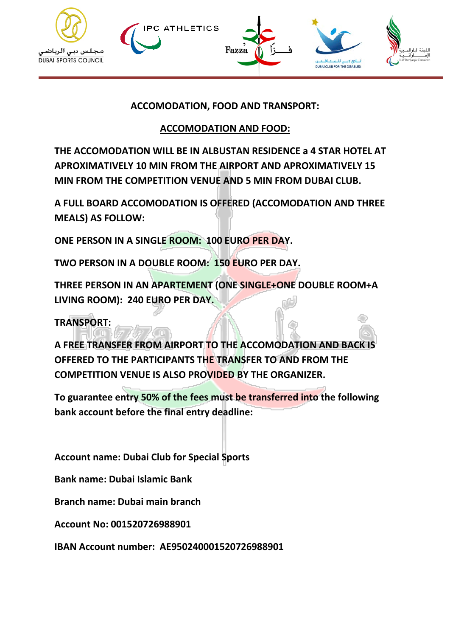



### **ACCOMODATION, FOOD AND TRANSPORT:**

#### **ACCOMODATION AND FOOD:**

**THE ACCOMODATION WILL BE IN ALBUSTAN RESIDENCE a 4 STAR HOTEL AT APROXIMATIVELY 10 MIN FROM THE AIRPORT AND APROXIMATIVELY 15 MIN FROM THE COMPETITION VENUE AND 5 MIN FROM DUBAI CLUB.**

**A FULL BOARD ACCOMODATION IS OFFERED (ACCOMODATION AND THREE MEALS) AS FOLLOW:**

**ONE PERSON IN A SINGLE ROOM: 100 EURO PER DAY.**

**TWO PERSON IN A DOUBLE ROOM: 150 EURO PER DAY.**

**THREE PERSON IN AN APARTEMENT (ONE SINGLE+ONE DOUBLE ROOM+A LIVING ROOM): 240 EURO PER DAY.** 

**TRANSPORT:**

**A FREE TRANSFER FROM AIRPORT TO THE ACCOMODATION AND BACK IS OFFERED TO THE PARTICIPANTS THE TRANSFER TO AND FROM THE COMPETITION VENUE IS ALSO PROVIDED BY THE ORGANIZER.**

**To guarantee entry 50% of the fees must be transferred into the following bank account before the final entry deadline:**

**Account name: Dubai Club for Special Sports**

**Bank name: Dubai Islamic Bank**

**Branch name: Dubai main branch**

**Account No: 001520726988901**

**IBAN Account number: AE950240001520726988901**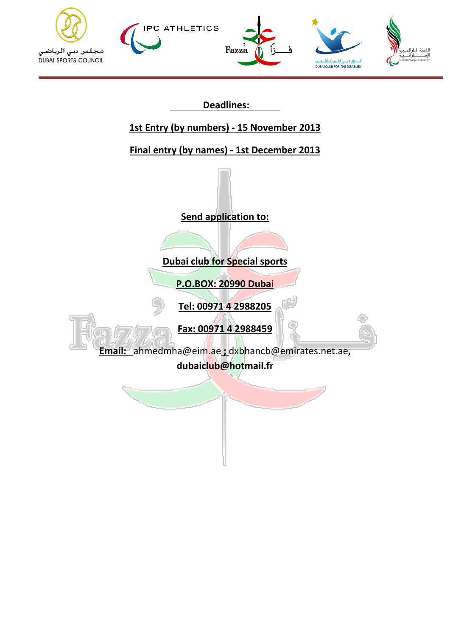



 **Deadlines:** 

# **1st Entry (by numbers) - 15 November 2013**

**Final entry (by names) - 1st December 2013**

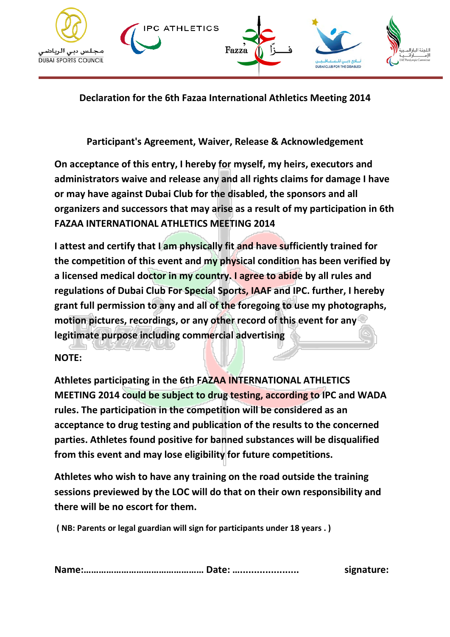

**Declaration for the 6th Fazaa International Athletics Meeting 2014**

**Participant's Agreement, Waiver, Release & Acknowledgement**

**On acceptance of this entry, I hereby for myself, my heirs, executors and administrators waive and release any and all rights claims for damage I have or may have against Dubai Club for the disabled, the sponsors and all organizers and successors that may arise as a result of my participation in 6th FAZAA INTERNATIONAL ATHLETICS MEETING 2014**

**I attest and certify that I am physically fit and have sufficiently trained for the competition of this event and my physical condition has been verified by a licensed medical doctor in my country. I agree to abide by all rules and regulations of Dubai Club For Special Sports, IAAF and IPC. further, I hereby grant full permission to any and all of the foregoing to use my photographs, motion pictures, recordings, or any other record of this event for any legitimate purpose including commercial advertising**

#### **NOTE:**

**Athletes participating in the 6th FAZAA INTERNATIONAL ATHLETICS MEETING 2014 could be subject to drug testing, according to IPC and WADA rules. The participation in the competition will be considered as an acceptance to drug testing and publication of the results to the concerned parties. Athletes found positive for banned substances will be disqualified from this event and may lose eligibility for future competitions.**

**Athletes who wish to have any training on the road outside the training sessions previewed by the LOC will do that on their own responsibility and there will be no escort for them.**

**( NB: Parents or legal guardian will sign for participants under 18 years . )**

**Name:………………………………………… Date: …..................... signature:**